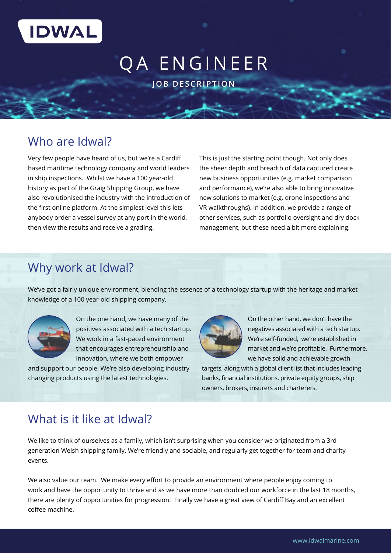

# QA ENGINEER

**JOB DESCRIPTION**

### Who are Idwal?

Very few people have heard of us, but we're a Cardiff based maritime technology company and world leaders in ship inspections. Whilst we have a 100 year-old history as part of the Graig Shipping Group, we have also revolutionised the industry with the introduction of the first online platform. At the simplest level this lets anybody order a vessel survey at any port in the world, then view the results and receive a grading.

This is just the starting point though. Not only does the sheer depth and breadth of data captured create new business opportunities (e.g. market comparison and performance), we're also able to bring innovative new solutions to market (e.g. drone inspections and VR walkthroughs). In addition, we provide a range of other services, such as portfolio oversight and dry dock management, but these need a bit more explaining.

### Why work at Idwal?

We've got a fairly unique environment, blending the essence of a technology startup with the heritage and market knowledge of a 100 year-old shipping company.



On the one hand, we have many of the positives associated with a tech startup. We work in a fast-paced environment that encourages entrepreneurship and innovation, where we both empower

and support our people. We're also developing industry changing products using the latest technologies.



On the other hand, we don't have the negatives associated with a tech startup. We're self-funded, we're established in market and we're profitable. Furthermore, we have solid and achievable growth

targets, along with a global client list that includes leading banks, financial institutions, private equity groups, ship owners, brokers, insurers and charterers.

### What is it like at Idwal?

We like to think of ourselves as a family, which isn't surprising when you consider we originated from a 3rd generation Welsh shipping family. We're friendly and sociable, and regularly get together for team and charity events.

We also value our team. We make every effort to provide an environment where people enjoy coming to work and have the opportunity to thrive and as we have more than doubled our workforce in the last 18 months, there are plenty of opportunities for progression. Finally we have a great view of Cardiff Bay and an excellent coffee machine.